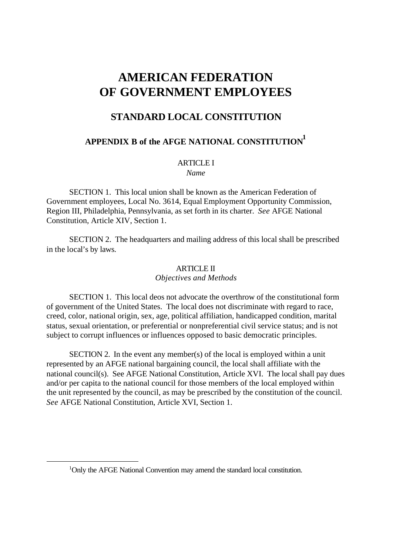# **AMERICAN FEDERATION OF GOVERNMENT EMPLOYEES**

# **STANDARD LOCAL CONSTITUTION**

# **APPENDIX B of the AFGE NATIONAL CONSTITUTION<sup>1</sup>**

### **ARTICLE I**

*Name*

SECTION 1. This local union shall be known as the American Federation of Government employees, Local No. 3614, Equal Employment Opportunity Commission, Region III, Philadelphia, Pennsylvania, as set forth in its charter. *See* AFGE National Constitution, Article XIV, Section 1.

SECTION 2. The headquarters and mailing address of this local shall be prescribed in the local's by laws.

#### ARTICLE II

*Objectives and Methods*

SECTION 1. This local deos not advocate the overthrow of the constitutional form of government of the United States. The local does not discriminate with regard to race, creed, color, national origin, sex, age, political affiliation, handicapped condition, marital status, sexual orientation, or preferential or nonpreferential civil service status; and is not subject to corrupt influences or influences opposed to basic democratic principles.

SECTION 2. In the event any member(s) of the local is employed within a unit represented by an AFGE national bargaining council, the local shall affiliate with the national council(s). See AFGE National Constitution, Article XVI. The local shall pay dues and/or per capita to the national council for those members of the local employed within the unit represented by the council, as may be prescribed by the constitution of the council. *See* AFGE National Constitution, Article XVI, Section 1.

<sup>&</sup>lt;sup>1</sup>Only the AFGE National Convention may amend the standard local constitution.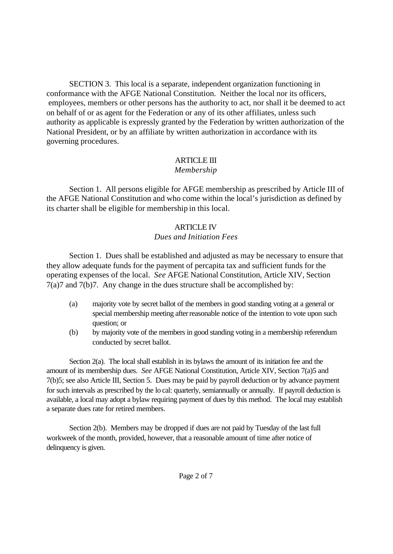SECTION 3. This local is a separate, independent organization functioning in conformance with the AFGE National Constitution. Neither the local nor its officers, employees, members or other persons has the authority to act, nor shall it be deemed to act on behalf of or as agent for the Federation or any of its other affiliates, unless such authority as applicable is expressly granted by the Federation by written authorization of the National President, or by an affiliate by written authorization in accordance with its governing procedures.

# ARTICLE III

## *Membership*

Section 1. All persons eligible for AFGE membership as prescribed by Article III of the AFGE National Constitution and who come within the local's jurisdiction as defined by its charter shall be eligible for membership in this local.

### ARTICLE IV *Dues and Initiation Fees*

Section 1. Dues shall be established and adjusted as may be necessary to ensure that they allow adequate funds for the payment of percapita tax and sufficient funds for the operating expenses of the local. *See* AFGE National Constitution, Article XIV, Section 7(a)7 and 7(b)7. Any change in the dues structure shall be accomplished by:

- (a) majority vote by secret ballot of the members in good standing voting at a general or special membership meeting after reasonable notice of the intention to vote upon such question; or
- (b) by majority vote of the members in good standing voting in a membership referendum conducted by secret ballot.

Section 2(a). The local shall establish in its bylaws the amount of its initiation fee and the amount of its membership dues. *See* AFGE National Constitution, Article XIV, Section 7(a)5 and 7(b)5; see also Article III, Section 5. Dues may be paid by payroll deduction or by advance payment for such intervals as prescribed by the lo cal: quarterly, semiannually or annually. If payroll deduction is available, a local may adopt a bylaw requiring payment of dues by this method. The local may establish a separate dues rate for retired members.

Section 2(b). Members may be dropped if dues are not paid by Tuesday of the last full workweek of the month, provided, however, that a reasonable amount of time after notice of delinquency is given.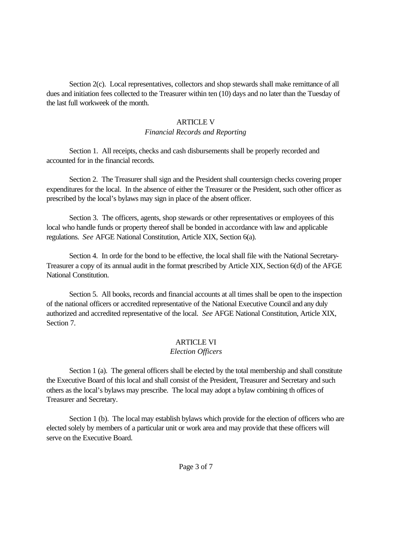Section 2(c). Local representatives, collectors and shop stewards shall make remittance of all dues and initiation fees collected to the Treasurer within ten (10) days and no later than the Tuesday of the last full workweek of the month.

#### **ARTICLE V**

#### *Financial Records and Reporting*

Section 1. All receipts, checks and cash disbursements shall be properly recorded and accounted for in the financial records.

Section 2. The Treasurer shall sign and the President shall countersign checks covering proper expenditures for the local. In the absence of either the Treasurer or the President, such other officer as prescribed by the local's bylaws may sign in place of the absent officer.

Section 3. The officers, agents, shop stewards or other representatives or employees of this local who handle funds or property thereof shall be bonded in accordance with law and applicable regulations. *See* AFGE National Constitution, Article XIX, Section 6(a).

Section 4. In orde for the bond to be effective, the local shall file with the National Secretary-Treasurer a copy of its annual audit in the format prescribed by Article XIX, Section 6(d) of the AFGE National Constitution.

Section 5. All books, records and financial accounts at all times shall be open to the inspection of the national officers or accredited representative of the National Executive Council and any duly authorized and accredited representative of the local. *See* AFGE National Constitution, Article XIX, Section 7.

### ARTICLE VI

#### *Election Officers*

Section 1 (a). The general officers shall be elected by the total membership and shall constitute the Executive Board of this local and shall consist of the President, Treasurer and Secretary and such others as the local's bylaws may prescribe. The local may adopt a bylaw combining th offices of Treasurer and Secretary.

Section 1 (b). The local may establish bylaws which provide for the election of officers who are elected solely by members of a particular unit or work area and may provide that these officers will serve on the Executive Board.

Page 3 of 7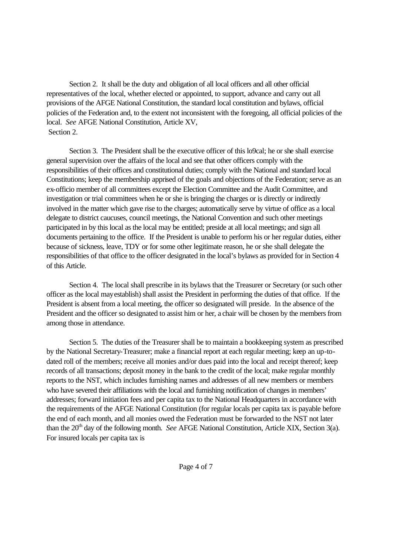Section 2. It shall be the duty and obligation of all local officers and all other official representatives of the local, whether elected or appointed, to support, advance and carry out all provisions of the AFGE National Constitution, the standard local constitution and bylaws, official policies of the Federation and, to the extent not inconsistent with the foregoing, all official policies of the local. *See* AFGE National Constitution, Article XV, Section 2.

Section 3. The President shall be the executive officer of this lo9cal; he or she shall exercise general supervision over the affairs of the local and see that other officers comply with the responsibilities of their offices and constitutional duties; comply with the National and standard local Constitutions; keep the membership apprised of the goals and objections of the Federation; serve as an ex-officio member of all committees except the Election Committee and the Audit Committee, and investigation or trial committees when he or she is bringing the charges or is directly or indirectly involved in the matter which gave rise to the charges; automatically serve by virtue of office as a local delegate to district caucuses, council meetings, the National Convention and such other meetings participated in by this local as the local may be entitled; preside at all local meetings; and sign all documents pertaining to the office. If the President is unable to perform his or her regular duties, either because of sickness, leave, TDY or for some other legitimate reason, he or she shall delegate the responsibilities of that office to the officer designated in the local's bylaws as provided for in Section 4 of this Article.

Section 4. The local shall prescribe in its bylaws that the Treasurer or Secretary (or such other officer as the local may establish) shall assist the President in performing the duties of that office. If the President is absent from a local meeting, the officer so designated will preside. In the absence of the President and the officer so designated to assist him or her, a chair will be chosen by the members from among those in attendance.

Section 5. The duties of the Treasurer shall be to maintain a bookkeeping system as prescribed by the National Secretary-Treasurer; make a financial report at each regular meeting; keep an up-todated roll of the members; receive all monies and/or dues paid into the local and receipt thereof; keep records of all transactions; deposit money in the bank to the credit of the local; make regular monthly reports to the NST, which includes furnishing names and addresses of all new members or members who have severed their affiliations with the local and furnishing notification of changes in members' addresses; forward initiation fees and per capita tax to the National Headquarters in accordance with the requirements of the AFGE National Constitution (for regular locals per capita tax is payable before the end of each month, and all monies owed the Federation must be forwarded to the NST not later than the 20<sup>th</sup> day of the following month. *See* AFGE National Constitution, Article XIX, Section 3(a). For insured locals per capita tax is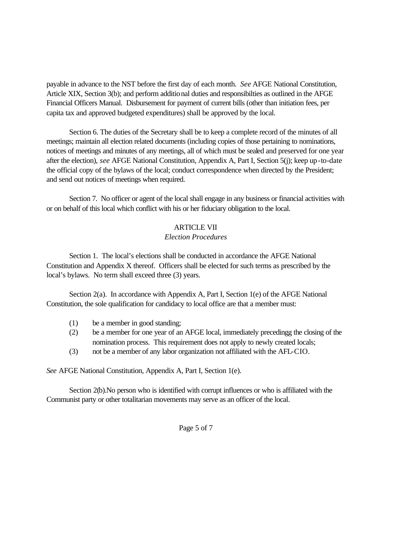payable in advance to the NST before the first day of each month. *See* AFGE National Constitution, Article XIX, Section 3(b); and perform additional duties and responsibilties as outlined in the AFGE Financial Officers Manual. Disbursement for payment of current bills (other than initiation fees, per capita tax and approved budgeted expenditures) shall be approved by the local.

Section 6. The duties of the Secretary shall be to keep a complete record of the minutes of all meetings; maintain all election related documents (including copies of those pertaining to nominations, notices of meetings and minutes of any meetings, all of which must be sealed and preserved for one year after the election), *see* AFGE National Constitution, Appendix A, Part I, Section 5(j); keep up-to-date the official copy of the bylaws of the local; conduct correspondence when directed by the President; and send out notices of meetings when required.

Section 7. No officer or agent of the local shall engage in any business or financial activities with or on behalf of this local which conflict with his or her fiduciary obligation to the local.

### ARTICLE VII

#### *Election Procedures*

Section 1. The local's elections shall be conducted in accordance the AFGE National Constitution and Appendix X thereof. Officers shall be elected for such terms as prescribed by the local's bylaws. No term shall exceed three (3) years.

Section 2(a). In accordance with Appendix A, Part I, Section 1(e) of the AFGE National Constitution, the sole qualification for candidacy to local office are that a member must:

- (1) be a member in good standing;
- (2) be a member for one year of an AFGE local, immediately precedingg the closing of the nomination process. This requirement does not apply to newly created locals;
- (3) not be a member of any labor organization not affiliated with the AFL-CIO.

*See* AFGE National Constitution, Appendix A, Part I, Section 1(e).

Section 2(b).No person who is identified with corrupt influences or who is affiliated with the Communist party or other totalitarian movements may serve as an officer of the local.

Page 5 of 7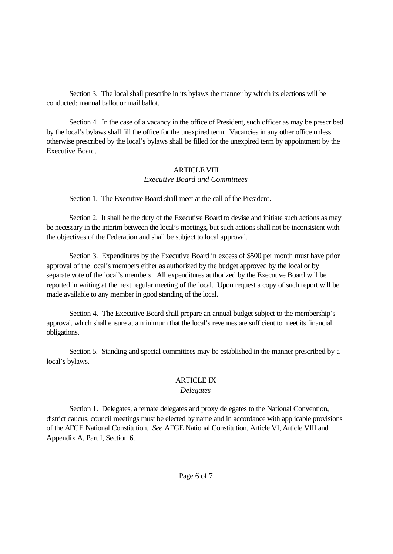Section 3. The local shall prescribe in its bylaws the manner by which its elections will be conducted: manual ballot or mail ballot.

Section 4. In the case of a vacancy in the office of President, such officer as may be prescribed by the local's bylaws shall fill the office for the unexpired term. Vacancies in any other office unless otherwise prescribed by the local's bylaws shall be filled for the unexpired term by appointment by the Executive Board.

### ARTICLE VIII *Executive Board and Committees*

Section 1. The Executive Board shall meet at the call of the President.

Section 2. It shall be the duty of the Executive Board to devise and initiate such actions as may be necessary in the interim between the local's meetings, but such actions shall not be inconsistent with the objectives of the Federation and shall be subject to local approval.

Section 3. Expenditures by the Executive Board in excess of \$500 per month must have prior approval of the local's members either as authorized by the budget approved by the local or by separate vote of the local's members. All expenditures authorized by the Executive Board will be reported in writing at the next regular meeting of the local. Upon request a copy of such report will be made available to any member in good standing of the local.

Section 4. The Executive Board shall prepare an annual budget subject to the membership's approval, which shall ensure at a minimum that the local's revenues are sufficient to meet its financial obligations.

Section 5. Standing and special committees may be established in the manner prescribed by a local's bylaws.

# ARTICLE IX

## *Delegates*

Section 1. Delegates, alternate delegates and proxy delegates to the National Convention, district caucus, council meetings must be elected by name and in accordance with applicable provisions of the AFGE National Constitution. *See* AFGE National Constitution, Article VI, Article VIII and Appendix A, Part I, Section 6.